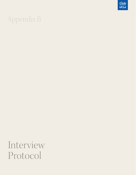## Appendix B

 $\frac{\mathbb{CE}}{\mathsf{UCLA}}$ 

Interview Protocol